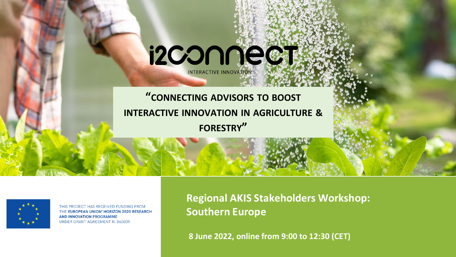#### **"CONNECTING ADVISORS TO BOOST INTERACTIVE INNOVATION IN AGRICULTURE & FORESTRY"**

i2CONNect

INTERACTIVE INNOVATION



THIS PROJECT HAS RECEIVED FUNDING FROM THE EUROPEAN UNION' HORIZON 2020 RESEARCH **AND INNOVATION PROGRAMME UNDER GRANT AGREEMENT N. 863039** 

**Regional AKIS Stakeholders Workshop: Southern Europe** 

**8 June 2022, online from 9:00 to 12:30 (CET)**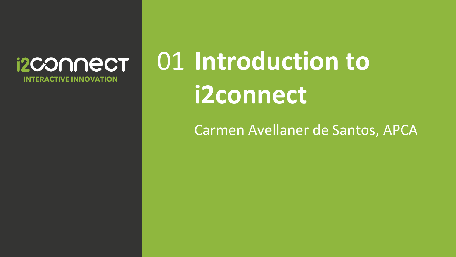#### **i2CONNECT INTERACTIVE INNOVATION**

# 01 Introduction to **i2connect**

Carmen Avellaner de Santos, APCA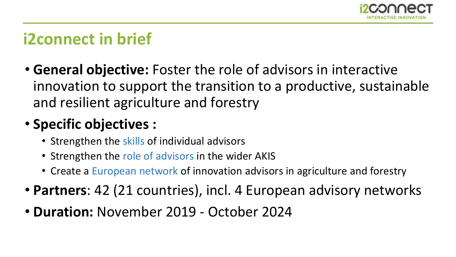

# **i2connect in brief**

• **General objective:** Foster the role of advisors in interactive innovation to support the transition to a productive, sustainable and resilient agriculture and forestry

## • **Specific objectives :**

- Strengthen the skills of individual advisors
- Strengthen the role of advisors in the wider AKIS
- Create a European network of innovation advisors in agriculture and forestry
- **Partners**: 42 (21 countries), incl. 4 European advisory networks
- **Duration:** November 2019 October 2024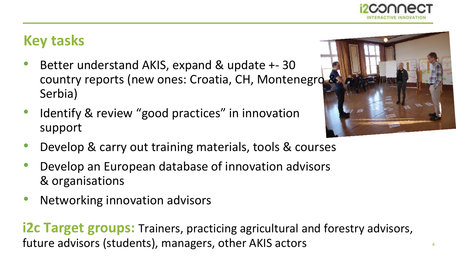

### **Key tasks**

- Better understand AKIS, expand & update +- 30 country reports (new ones: Croatia, CH, Montenegro Serbia)
- Identify & review "good practices" in innovation support
- Develop & carry out training materials, tools & courses
- Develop an European database of innovation advisors & organisations
- Networking innovation advisors

**i2c Target groups:** Trainers, practicing agricultural and forestry advisors, future advisors (students), managers, other AKIS actors



4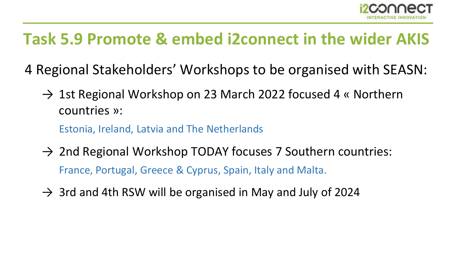

# **Task 5.9 Promote & embed i2connect in the wider AKIS**

- 4 Regional Stakeholders' Workshops to be organised with SEASN:
	- $\rightarrow$  1st Regional Workshop on 23 March 2022 focused 4 « Northern countries »:

Estonia, Ireland, Latvia and The Netherlands

- $\rightarrow$  2nd Regional Workshop TODAY focuses 7 Southern countries: France, Portugal, Greece & Cyprus, Spain, Italy and Malta.
- $\rightarrow$  3rd and 4th RSW will be organised in May and July of 2024